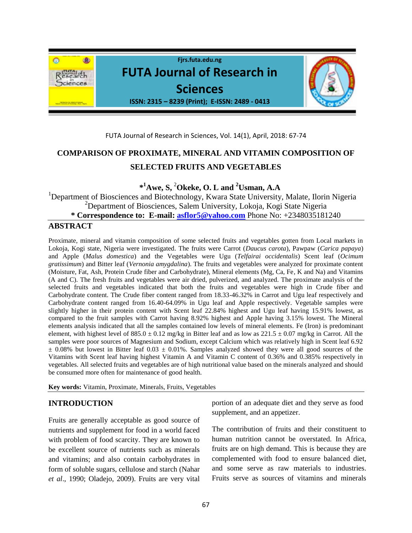

# FUTA Journal of Research in Sciences, Vol. 14(1), April, 2018: 67-74

# **COMPARISON OF PROXIMATE, MINERAL AND VITAMIN COMPOSITION OF SELECTED FRUITS AND VEGETABLES**

 **\* <sup>1</sup>Awe, S,** <sup>2</sup>**Okeke, O. L and <sup>2</sup>Usman, A.A**

<sup>1</sup>Department of Biosciences and Biotechnology, Kwara State University, Malate, Ilorin Nigeria <sup>2</sup>Department of Biosciences, Salem University, Lokoja, Kogi State Nigeria **\* Correspondence to: E-mail: [asflor5@yahoo.com](mailto:asflor5@yahoo.com)** Phone No: +2348035181240

# **ABSTRACT**

Proximate, mineral and vitamin composition of some selected fruits and vegetables gotten from Local markets in Lokoja, Kogi state, Nigeria were investigated. The fruits were Carrot (*Daucus carota*), Pawpaw (*Carica papaya*) and Apple (*Malus domestica*) and the Vegetables were Ugu (*Telfairai occidentalis*) Scent leaf (*Ocimum gratissimum*) and Bitter leaf (*Vernonia amygdalina*). The fruits and vegetables were analyzed for proximate content (Moisture, Fat, Ash, Protein Crude fiber and Carbohydrate), Mineral elements (Mg, Ca, Fe, K and Na) and Vitamins (A and C). The fresh fruits and vegetables were air dried, pulverized, and analyzed. The proximate analysis of the selected fruits and vegetables indicated that both the fruits and vegetables were high in Crude fiber and Carbohydrate content. The Crude fiber content ranged from 18.33-46.32% in Carrot and Ugu leaf respectively and Carbohydrate content ranged from 16.40-64.09% in Ugu leaf and Apple respectively. Vegetable samples were slightly higher in their protein content with Scent leaf 22.84% highest and Ugu leaf having 15.91% lowest, as compared to the fruit samples with Carrot having 8.92% highest and Apple having 3.15% lowest. The Mineral elements analysis indicated that all the samples contained low levels of mineral elements. Fe (Iron) is predominant element, with highest level of  $885.0 \pm 0.12$  mg/kg in Bitter leaf and as low as  $221.5 \pm 0.07$  mg/kg in Carrot. All the samples were poor sources of Magnesium and Sodium, except Calcium which was relatively high in Scent leaf 6.92  $\pm$  0.08% but lowest in Bitter leaf 0.03  $\pm$  0.01%. Samples analyzed showed they were all good sources of the Vitamins with Scent leaf having highest Vitamin A and Vitamin C content of 0.36% and 0.385% respectively in vegetables. All selected fruits and vegetables are of high nutritional value based on the minerals analyzed and should be consumed more often for maintenance of good health.

**Key words:** Vitamin, Proximate, Minerals, Fruits, Vegetables

# **INTRODUCTION**

Fruits are generally acceptable as good source of nutrients and supplement for food in a world faced with problem of food scarcity. They are known to be excellent source of nutrients such as minerals and vitamins; and also contain carbohydrates in form of soluble sugars, cellulose and starch (Nahar *et al*., 1990; Oladejo, 2009). Fruits are very vital portion of an adequate diet and they serve as food supplement, and an appetizer.

The contribution of fruits and their constituent to human nutrition cannot be overstated. In Africa, fruits are on high demand. This is because they are complemented with food to ensure balanced diet, and some serve as raw materials to industries. Fruits serve as sources of vitamins and minerals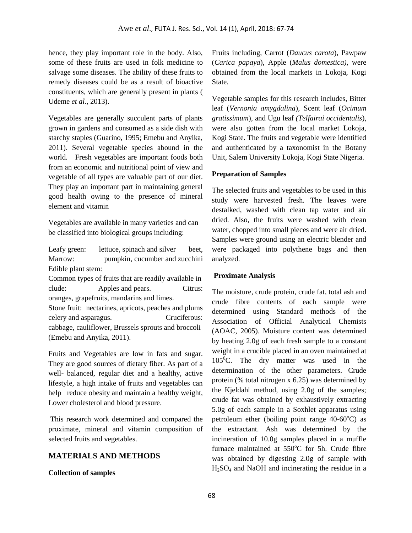hence, they play important role in the body. Also, some of these fruits are used in folk medicine to salvage some diseases. The ability of these fruits to remedy diseases could be as a result of bioactive constituents, which are generally present in plants ( Udeme *et al.,* 2013).

Vegetables are generally succulent parts of plants grown in gardens and consumed as a side dish with starchy staples (Guarino, 1995; Emebu and Anyika, 2011). Several vegetable species abound in the world. Fresh vegetables are important foods both from an economic and nutritional point of view and vegetable of all types are valuable part of our diet. They play an important part in maintaining general good health owing to the presence of mineral element and vitamin

Vegetables are available in many varieties and can be classified into biological groups including:

Leafy green: lettuce, spinach and silver beet, Marrow: pumpkin, cucumber and zucchini Edible plant stem:

Common types of fruits that are readily available in clude: Apples and pears. Citrus: oranges, grapefruits, mandarins and limes. Stone fruit: nectarines, apricots, peaches and plums celery and asparagus. Cruciferous: cabbage, cauliflower, Brussels sprouts and broccoli (Emebu and Anyika, 2011).

Fruits and Vegetables are low in fats and sugar. They are good sources of dietary fiber. As part of a well- balanced, regular diet and a healthy, active lifestyle, a high intake of fruits and vegetables can help reduce obesity and maintain a healthy weight, Lower cholesterol and blood pressure.

This research work determined and compared the proximate, mineral and vitamin composition of selected fruits and vegetables.

# **MATERIALS AND METHODS**

#### **Collection of samples**

Fruits including, Carrot (*Daucus carota*), Pawpaw (*Carica papaya*), Apple (*Malus domestica),* were obtained from the local markets in Lokoja, Kogi State.

Vegetable samples for this research includes, Bitter leaf (*Vernonia amygdalina*), Scent leaf (*Ocimum gratissimum*), and Ugu leaf *(Telfairai occidentalis*), were also gotten from the local market Lokoja, Kogi State. The fruits and vegetable were identified and authenticated by a taxonomist in the Botany Unit, Salem University Lokoja, Kogi State Nigeria.

# **Preparation of Samples**

The selected fruits and vegetables to be used in this study were harvested fresh. The leaves were destalked, washed with clean tap water and air dried. Also, the fruits were washed with clean water, chopped into small pieces and were air dried. Samples were ground using an electric blender and were packaged into polythene bags and then analyzed.

# **Proximate Analysis**

The moisture, crude protein, crude fat, total ash and crude fibre contents of each sample were determined using Standard methods of the Association of Official Analytical Chemists (AOAC, 2005). Moisture content was determined by heating 2.0g of each fresh sample to a constant weight in a crucible placed in an oven maintained at  $105^{\circ}$ C. The dry matter was used in the determination of the other parameters. Crude protein (% total nitrogen x 6.25) was determined by the Kjeldahl method, using 2.0g of the samples; crude fat was obtained by exhaustively extracting 5.0g of each sample in a Soxhlet apparatus using petroleum ether (boiling point range  $40-60^{\circ}$ C) as the extractant. Ash was determined by the incineration of 10.0g samples placed in a muffle furnace maintained at  $550^{\circ}$ C for 5h. Crude fibre was obtained by digesting 2.0g of sample with H2SO<sup>4</sup> and NaOH and incinerating the residue in a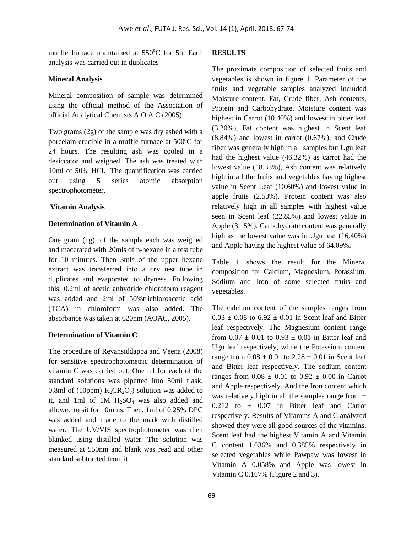muffle furnace maintained at  $550^{\circ}$ C for 5h. Each analysis was carried out in duplicates

#### **Mineral Analysis**

Mineral composition of sample was determined using the official method of the Association of official Analytical Chemists A.O.A.C (2005).

Two grams (2g) of the sample was dry ashed with a porcelain crucible in a muffle furnace at 500ºC for 24 hours. The resulting ash was cooled in a desiccator and weighed. The ash was treated with 10ml of 50% HCl. The quantification was carried out using 5 series atomic absorption spectrophotometer.

#### **Vitamin Analysis**

#### **Determination of Vitamin A**

One gram (1g), of the sample each was weighed and macerated with 20mls of n-hexane in a test tube for 10 minutes. Then 3mls of the upper hexane extract was transferred into a dry test tube in duplicates and evaporated to dryness. Following this, 0.2ml of acetic anhydride chloroform reagent was added and 2ml of 50%trichloroacetic acid (TCA) in chloroform was also added. The absorbance was taken at 620nm (AOAC, 2005).

#### **Determination of Vitamin C**

The procedure of Revansiddappa and Veena (2008) for sensitive spectrophotometric determination of vitamin C was carried out. One ml for each of the standard solutions was pipetted into 50ml flask. 0.8ml of (10ppm)  $K_2CR_2O_7$ ) solution was added to it, and 1ml of 1M  $H_2SO_4$  was also added and allowed to sit for 10mins. Then, 1ml of 0.25% DPC was added and made to the mark with distilled water. The UV/VIS spectrophotometer was then blanked using distilled water. The solution was measured at 550nm and blank was read and other standard subtracted from it.

### **RESULTS**

The proximate composition of selected fruits and vegetables is shown in figure 1. Parameter of the fruits and vegetable samples analyzed included Moisture content, Fat, Crude fiber, Ash contents, Protein and Carbohydrate. Moisture content was highest in Carrot (10.40%) and lowest in bitter leaf (3.20%), Fat content was highest in Scent leaf (8.84%) and lowest in carrot (0.67%), and Crude fiber was generally high in all samples but Ugu leaf had the highest value (46.32%) as carrot had the lowest value (18.33%), Ash content was relatively high in all the fruits and vegetables having highest value in Scent Leaf (10.60%) and lowest value in apple fruits (2.53%). Protein content was also relatively high in all samples with highest value seen in Scent leaf (22.85%) and lowest value in Apple (3.15%). Carbohydrate content was generally high as the lowest value was in Ugu leaf (16.40%) and Apple having the highest value of 64.09%.

Table 1 shows the result for the Mineral composition for Calcium, Magnesium, Potassium, Sodium and Iron of some selected fruits and vegetables.

The calcium content of the samples ranges from  $0.03 \pm 0.08$  to  $6.92 \pm 0.01$  in Scent leaf and Bitter leaf respectively. The Magnesium content range from  $0.07 \pm 0.01$  to  $0.93 \pm 0.01$  in Bitter leaf and Ugu leaf respectively, while the Potassium content range from  $0.08 \pm 0.01$  to  $2.28 \pm 0.01$  in Scent leaf and Bitter leaf respectively. The sodium content ranges from  $0.08 \pm 0.01$  to  $0.92 \pm 0.00$  in Carrot and Apple respectively. And the Iron content which was relatively high in all the samples range from  $\pm$  $0.212$  to  $\pm$  0.07 in Bitter leaf and Carrot respectively. Results of Vitamins A and C analyzed showed they were all good sources of the vitamins. Scent leaf had the highest Vitamin A and Vitamin C content 1.036% and 0.385% respectively in selected vegetables while Pawpaw was lowest in Vitamin A 0.058% and Apple was lowest in Vitamin C 0.167% (Figure 2 and 3).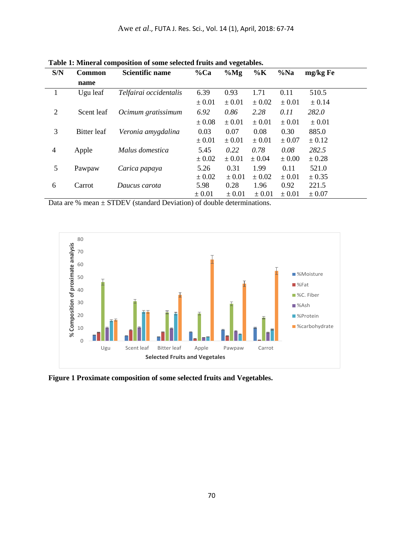| S/N            | <b>Common</b> | <b>Scientific name</b> | %Ca        | $\%$ Mg    | $\%K$      | $\%$ Na    | mg/kg Fe   |
|----------------|---------------|------------------------|------------|------------|------------|------------|------------|
|                | name          |                        |            |            |            |            |            |
|                | Ugu leaf      | Telfairai occidentalis | 6.39       | 0.93       | 1.71       | 0.11       | 510.5      |
|                |               |                        | $\pm 0.01$ | $\pm 0.01$ | ± 0.02     | $\pm 0.01$ | ± 0.14     |
| $\overline{2}$ | Scent leaf    | Ocimum gratissimum     | 6.92       | 0.86       | 2.28       | 0.11       | 282.0      |
|                |               |                        | $\pm 0.08$ | $\pm 0.01$ | $\pm 0.01$ | ± 0.01     | $\pm 0.01$ |
| 3              | Bitter leaf   | Veronia amygdalina     | 0.03       | 0.07       | 0.08       | 0.30       | 885.0      |
|                |               |                        | $\pm 0.01$ | $\pm 0.01$ | $\pm 0.01$ | ± 0.07     | $\pm$ 0.12 |
| $\overline{4}$ | Apple         | Malus domestica        | 5.45       | 0.22       | 0.78       | 0.08       | 282.5      |
|                |               |                        | $\pm 0.02$ | $\pm 0.01$ | $\pm 0.04$ | $\pm 0.00$ | $\pm 0.28$ |
| 5              | Pawpaw        | Carica papaya          | 5.26       | 0.31       | 1.99       | 0.11       | 521.0      |
|                |               |                        | $\pm 0.02$ | $\pm 0.01$ | ± 0.02     | ± 0.01     | $\pm$ 0.35 |
| 6              | Carrot        | Daucus carota          | 5.98       | 0.28       | 1.96       | 0.92       | 221.5      |
|                |               |                        | $\pm 0.01$ | $\pm 0.01$ | $\pm 0.01$ | ± 0.01     | $\pm 0.07$ |

**Table 1: Mineral composition of some selected fruits and vegetables.**

Data are % mean ± STDEV (standard Deviation) of double determinations.



**Figure 1 Proximate composition of some selected fruits and Vegetables.**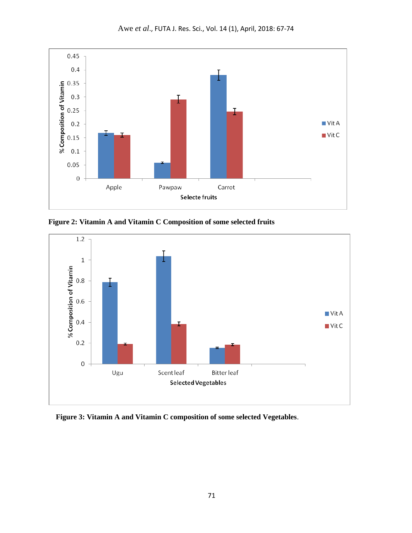

**Figure 2: Vitamin A and Vitamin C Composition of some selected fruits**



**Figure 3: Vitamin A and Vitamin C composition of some selected Vegetables**.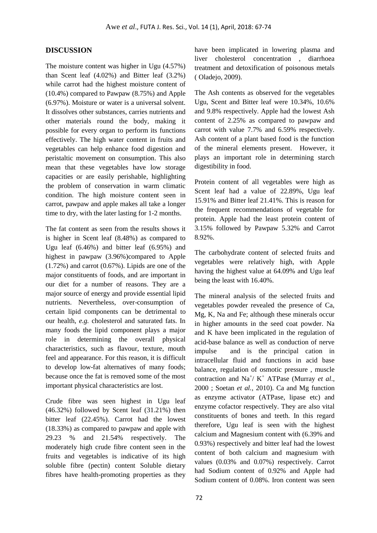# **DISCUSSION**

The moisture content was higher in Ugu (4.57%) than Scent leaf (4.02%) and Bitter leaf (3.2%) while carrot had the highest moisture content of (10.4%) compared to Pawpaw (8.75%) and Apple (6.97%). Moisture or water is a universal solvent. It dissolves other substances, carries nutrients and other materials round the body, making it possible for every organ to perform its functions effectively. The high water content in fruits and vegetables can help enhance food digestion and peristaltic movement on consumption. This also mean that these vegetables have low storage capacities or are easily perishable, highlighting the problem of conservation in warm climatic condition. The high moisture content seen in carrot, pawpaw and apple makes all take a longer time to dry, with the later lasting for 1-2 months.

The fat content as seen from the results shows it is higher in Scent leaf (8.48%) as compared to Ugu leaf (6.46%) and bitter leaf (6.95%) and highest in pawpaw (3.96%)compared to Apple (1.72%) and carrot (0.67%). Lipids are one of the major constituents of foods, and are important in our diet for a number of reasons. They are a major source of energy and provide essential lipid nutrients. Nevertheless, over-consumption of certain lipid components can be detrimental to our health, *e.g.* cholesterol and saturated fats. In many foods the lipid component plays a major role in determining the overall physical characteristics, such as flavour, texture, mouth feel and appearance. For this reason, it is difficult to develop low-fat alternatives of many foods; because once the fat is removed some of the most important physical characteristics are lost.

Crude fibre was seen highest in Ugu leaf  $(46.32\%)$  followed by Scent leaf  $(31.21\%)$  then bitter leaf (22.45%). Carrot had the lowest (18.33%) as compared to pawpaw and apple with 29.23 % and 21.54% respectively. The moderately high crude fibre content seen in the fruits and vegetables is indicative of its high soluble fibre (pectin) content Soluble dietary fibres have health-promoting properties as they have been implicated in lowering plasma and liver cholesterol concentration , diarrhoea treatment and detoxification of poisonous metals ( Oladejo, 2009).

The Ash contents as observed for the vegetables Ugu, Scent and Bitter leaf were 10.34%, 10.6% and 9.8% respectively. Apple had the lowest Ash content of 2.25% as compared to pawpaw and carrot with value 7.7% and 6.59% respectively. Ash content of a plant based food is the function of the mineral elements present. However, it plays an important role in determining starch digestibility in food.

Protein content of all vegetables were high as Scent leaf had a value of 22.89%, Ugu leaf 15.91% and Bitter leaf 21.41%. This is reason for the frequent recommendations of vegetable for protein. Apple had the least protein content of 3.15% followed by Pawpaw 5.32% and Carrot 8.92%.

The carbohydrate content of selected fruits and vegetables were relatively high, with Apple having the highest value at 64.09% and Ugu leaf being the least with 16.40%.

The mineral analysis of the selected fruits and vegetables powder revealed the presence of Ca, Mg, K, Na and Fe; although these minerals occur in higher amounts in the seed coat powder. Na and K have been implicated in the regulation of acid-base balance as well as conduction of nerve impulse and is the principal cation in intracellular fluid and functions in acid base balance, regulation of osmotic pressure , muscle contraction and Na<sup>+</sup>/ K<sup>+</sup> ATPase (Murray *et al.*, 2000 ; Soetan *et al.,* 2010). Ca and Mg function as enzyme activator (ATPase, lipase etc) and enzyme cofactor respectively. They are also vital constituents of bones and teeth. In this regard therefore, Ugu leaf is seen with the highest calcium and Magnesium content with (6.39% and 0.93%) respectively and bitter leaf had the lowest content of both calcium and magnesium with values (0.03% and 0.07%) respectively. Carrot had Sodium content of 0.92% and Apple had Sodium content of 0.08%. Iron content was seen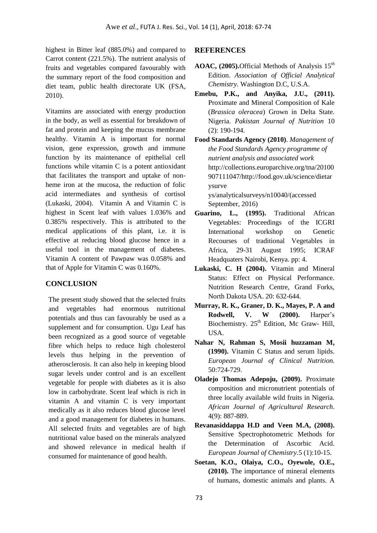highest in Bitter leaf (885.0%) and compared to Carrot content (221.5%). The nutrient analysis of fruits and vegetables compared favourably with the summary report of the food composition and diet team, public health directorate UK (FSA, 2010).

Vitamins are associated with energy production in the body, as well as essential for breakdown of fat and protein and keeping the mucus membrane healthy. Vitamin A is important for normal vision, gene expression, growth and immune function by its maintenance of epithelial cell functions while vitamin C is a potent antioxidant that facilitates the transport and uptake of nonheme iron at the mucosa, the reduction of folic acid intermediates and synthesis of cortisol (Lukaski, 2004). Vitamin A and Vitamin C is highest in Scent leaf with values 1.036% and 0.385% respectively. This is attributed to the medical applications of this plant, i.e. it is effective at reducing blood glucose hence in a useful tool in the management of diabetes. Vitamin A content of Pawpaw was 0.058% and that of Apple for Vitamin C was 0.160%.

# **CONCLUSION**

The present study showed that the selected fruits and vegetables had enormous nutritional potentials and thus can favourably be used as a supplement and for consumption. Ugu Leaf has been recognized as a good source of vegetable fibre which helps to reduce high cholesterol levels thus helping in the prevention of atherosclerosis. It can also help in keeping blood sugar levels under control and is an excellent vegetable for people with diabetes as it is also low in carbohydrate. Scent leaf which is rich in vitamin A and vitamin C is very important medically as it also reduces blood glucose level and a good management for diabetes in humans. All selected fruits and vegetables are of high nutritional value based on the minerals analyzed and showed relevance in medical health if consumed for maintenance of good health.

# **REFERENCES**

- AOAC, (2005). Official Methods of Analysis 15<sup>th</sup> Edition. *Association of Official Analytical Chemistry.* Washington D.C, U.S.A.
- **Emebu, P.K., and Anyika, J.U., (2011).** Proximate and Mineral Composition of Kale (*Brassica oleracea*) Grown in Delta State. Nigeria. *Pakistan Journal of Nutrition* 10 (2): 190-194.
- **Food Standards Agency (2010)**. *Management of the Food Standards Agency programme of nutrient analysis and associated work*  http://collections.europarchive.org/tna/20100 907111047/http://food.gov.uk/science/dietar ysurve ys/analyticalsurveys/n10040/(accessed September, 2016)
- **Guarino, L., (1995).** Traditional African Vegetables: Proceedings of the ICGRI International workshop on Genetic Recourses of traditional Vegetables in Africa, 29-31 August 1995; ICRAF Headquaters Nairobi, Kenya. pp: 4.
- **Lukaski, C. H (2004).** Vitamin and Mineral Status: Effect on Physical Performance. Nutrition Research Centre, Grand Forks, North Dakota USA. 20: 632-644.
- **Murray, R. K., Graner, D. K., Mayes, P. A and Rodwell, V. W (2000).** Harper's Biochemistry. 25<sup>th</sup> Edition, Mc Graw- Hill, USA.
- **Nahar N, Rahman S, Mosii huzzaman M, (1990).** Vitamin C Status and serum lipids. *European Journal of Clinical Nutrition.* 50:724-729.
- **Oladejo Thomas Adepoju, (2009).** Proximate composition and micronutrient potentials of three locally available wild fruits in Nigeria. *African Journal of Agricultural Research*. 4(9): 887-889.
- **Revanasiddappa H.D and Veen M.A, (2008).** Sensitive Spectrophotometric Methods for the Determination of Ascorbic Acid. *European Journal of Chemistry.*5 (1):10-15.
- **Soetan, K.O., Olaiya, C.O., Oyewole, O.E., (2010).** The importance of mineral elements of humans, domestic animals and plants. A